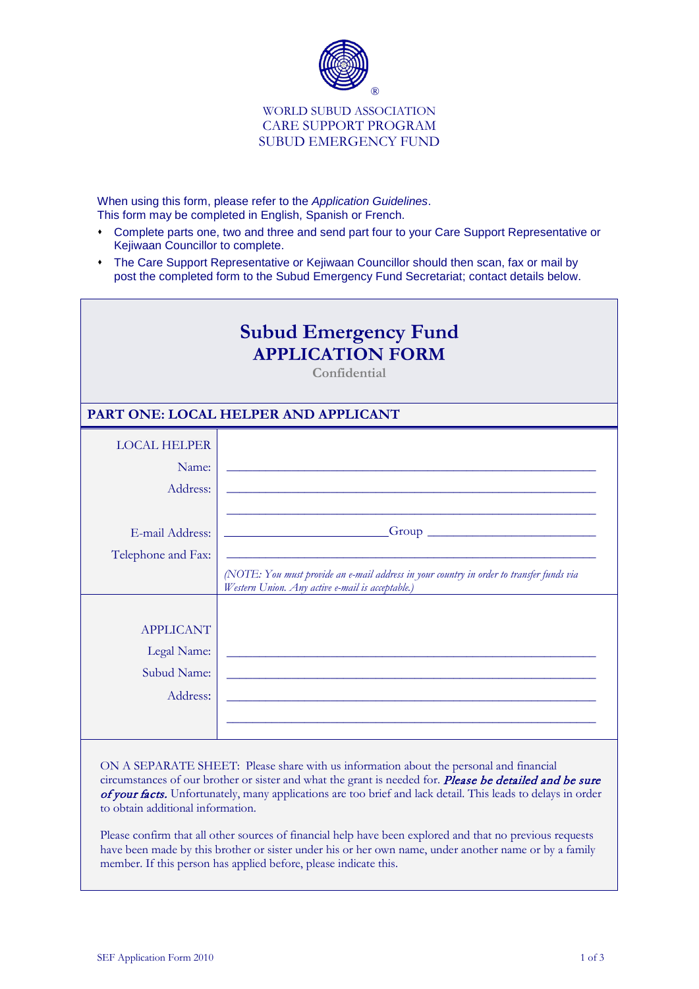

## WORLD SUBUD ASSOCIATION CARE SUPPORT PROGRAM SUBUD EMERGENCY FUND

When using this form, please refer to the *Application Guidelines*. This form may be completed in English, Spanish or French.

- Complete parts one, two and three and send part four to your Care Support Representative or Kejiwaan Councillor to complete.
- The Care Support Representative or Kejiwaan Councillor should then scan, fax or mail by post the completed form to the Subud Emergency Fund Secretariat; contact details below.

| <b>Subud Emergency Fund</b><br><b>APPLICATION FORM</b><br>Confidential |                                                                                                                                              |  |  |  |  |
|------------------------------------------------------------------------|----------------------------------------------------------------------------------------------------------------------------------------------|--|--|--|--|
| PART ONE: LOCAL HELPER AND APPLICANT                                   |                                                                                                                                              |  |  |  |  |
| <b>LOCAL HELPER</b>                                                    |                                                                                                                                              |  |  |  |  |
| Name:                                                                  |                                                                                                                                              |  |  |  |  |
| Address:                                                               |                                                                                                                                              |  |  |  |  |
|                                                                        |                                                                                                                                              |  |  |  |  |
| E-mail Address:                                                        |                                                                                                                                              |  |  |  |  |
| Telephone and Fax:                                                     |                                                                                                                                              |  |  |  |  |
|                                                                        | (NOTE: You must provide an e-mail address in your country in order to transfer funds via<br>Western Union. Any active e-mail is acceptable.) |  |  |  |  |
|                                                                        |                                                                                                                                              |  |  |  |  |
| <b>APPLICANT</b>                                                       |                                                                                                                                              |  |  |  |  |
| Legal Name:                                                            |                                                                                                                                              |  |  |  |  |
| Subud Name:                                                            |                                                                                                                                              |  |  |  |  |
| Address:                                                               |                                                                                                                                              |  |  |  |  |
|                                                                        |                                                                                                                                              |  |  |  |  |
|                                                                        |                                                                                                                                              |  |  |  |  |

ON A SEPARATE SHEET: Please share with us information about the personal and financial circumstances of our brother or sister and what the grant is needed for. **Please be detailed and be sure** of your facts. Unfortunately, many applications are too brief and lack detail. This leads to delays in order to obtain additional information.

Please confirm that all other sources of financial help have been explored and that no previous requests have been made by this brother or sister under his or her own name, under another name or by a family member. If this person has applied before, please indicate this.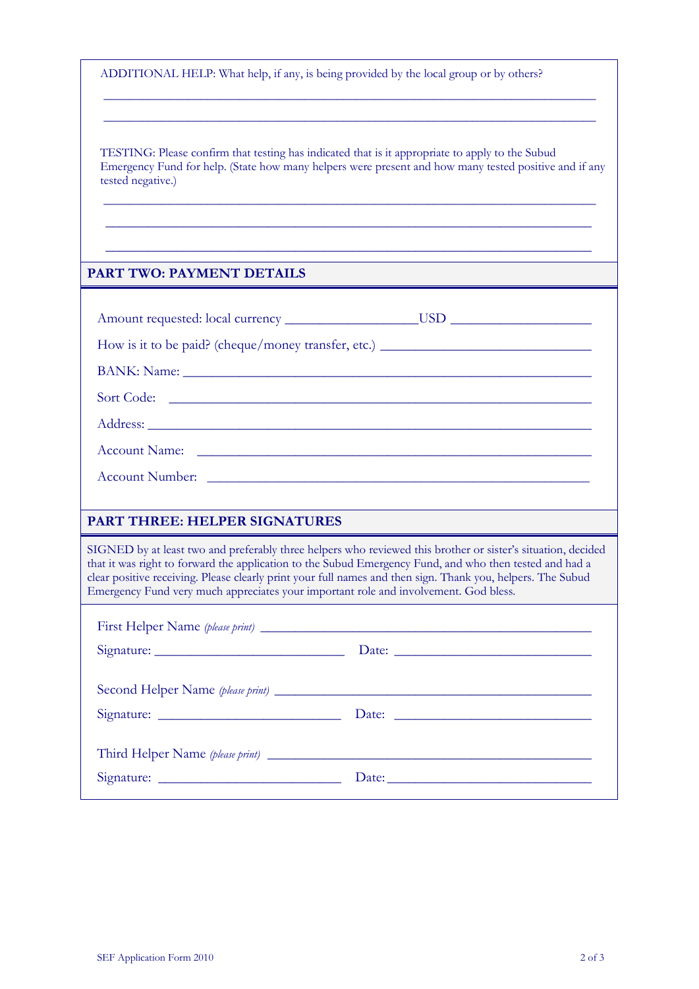| ADDITIONAL HELP: What help, if any, is being provided by the local group or by others? |  |  |
|----------------------------------------------------------------------------------------|--|--|
|                                                                                        |  |  |
|                                                                                        |  |  |

TESTING: Please confirm that testing has indicated that is it appropriate to apply to the Subud Emergency Fund for help. (State how many helpers were present and how many tested positive and if any tested negative.)

\_\_\_\_\_\_\_\_\_\_\_\_\_\_\_\_\_\_\_\_\_\_\_\_\_\_\_\_\_\_\_\_\_\_\_\_\_\_\_\_\_\_\_\_\_\_\_\_\_\_\_\_\_\_\_\_\_\_\_\_\_\_\_\_\_\_\_\_\_\_\_\_\_\_\_\_ \_\_\_\_\_\_\_\_\_\_\_\_\_\_\_\_\_\_\_\_\_\_\_\_\_\_\_\_\_\_\_\_\_\_\_\_\_\_\_\_\_\_\_\_\_\_\_\_\_\_\_\_\_\_\_\_\_\_\_\_\_\_\_\_\_\_\_\_\_

 $\_$  , and the set of the set of the set of the set of the set of the set of the set of the set of the set of the set of the set of the set of the set of the set of the set of the set of the set of the set of the set of th

\_\_\_\_\_\_\_\_\_\_\_\_\_\_\_\_\_\_\_\_\_\_\_\_\_\_\_\_\_\_\_\_\_\_\_\_\_\_\_\_\_\_\_\_\_\_\_\_\_\_\_\_\_\_\_\_\_\_\_\_\_\_\_\_\_\_\_\_\_\_\_\_\_\_\_\_ \_\_\_\_\_\_\_\_\_\_\_\_\_\_\_\_\_\_\_\_\_\_\_\_\_\_\_\_\_\_\_\_\_\_\_\_\_\_\_\_\_\_\_\_\_\_\_\_\_\_\_\_\_\_\_\_\_\_\_\_\_\_\_\_\_\_\_\_\_\_\_\_\_\_\_\_

## **PART TWO: PAYMENT DETAILS**

| How is it to be paid? (cheque/money transfer, etc.) _____________________________                                                                                                                                                                                                                                                                                                                                              |                                                                                                                                                                                                                                |  |  |  |  |
|--------------------------------------------------------------------------------------------------------------------------------------------------------------------------------------------------------------------------------------------------------------------------------------------------------------------------------------------------------------------------------------------------------------------------------|--------------------------------------------------------------------------------------------------------------------------------------------------------------------------------------------------------------------------------|--|--|--|--|
|                                                                                                                                                                                                                                                                                                                                                                                                                                |                                                                                                                                                                                                                                |  |  |  |  |
| Sort Code:                                                                                                                                                                                                                                                                                                                                                                                                                     |                                                                                                                                                                                                                                |  |  |  |  |
|                                                                                                                                                                                                                                                                                                                                                                                                                                |                                                                                                                                                                                                                                |  |  |  |  |
| Account Name: Later and the contract of the contract of the contract of the contract of the contract of the contract of the contract of the contract of the contract of the contract of the contract of the contract of the co                                                                                                                                                                                                 |                                                                                                                                                                                                                                |  |  |  |  |
|                                                                                                                                                                                                                                                                                                                                                                                                                                |                                                                                                                                                                                                                                |  |  |  |  |
|                                                                                                                                                                                                                                                                                                                                                                                                                                |                                                                                                                                                                                                                                |  |  |  |  |
| <b>PART THREE: HELPER SIGNATURES</b>                                                                                                                                                                                                                                                                                                                                                                                           |                                                                                                                                                                                                                                |  |  |  |  |
| SIGNED by at least two and preferably three helpers who reviewed this brother or sister's situation, decided<br>that it was right to forward the application to the Subud Emergency Fund, and who then tested and had a<br>clear positive receiving. Please clearly print your full names and then sign. Thank you, helpers. The Subud<br>Emergency Fund very much appreciates your important role and involvement. God bless. |                                                                                                                                                                                                                                |  |  |  |  |
|                                                                                                                                                                                                                                                                                                                                                                                                                                |                                                                                                                                                                                                                                |  |  |  |  |
|                                                                                                                                                                                                                                                                                                                                                                                                                                |                                                                                                                                                                                                                                |  |  |  |  |
|                                                                                                                                                                                                                                                                                                                                                                                                                                |                                                                                                                                                                                                                                |  |  |  |  |
|                                                                                                                                                                                                                                                                                                                                                                                                                                |                                                                                                                                                                                                                                |  |  |  |  |
|                                                                                                                                                                                                                                                                                                                                                                                                                                |                                                                                                                                                                                                                                |  |  |  |  |
|                                                                                                                                                                                                                                                                                                                                                                                                                                | Date: No. 1996. The Contract of the Contract of the Contract of the Contract of the Contract of the Contract of the Contract of the Contract of the Contract of the Contract of the Contract of the Contract of the Contract o |  |  |  |  |